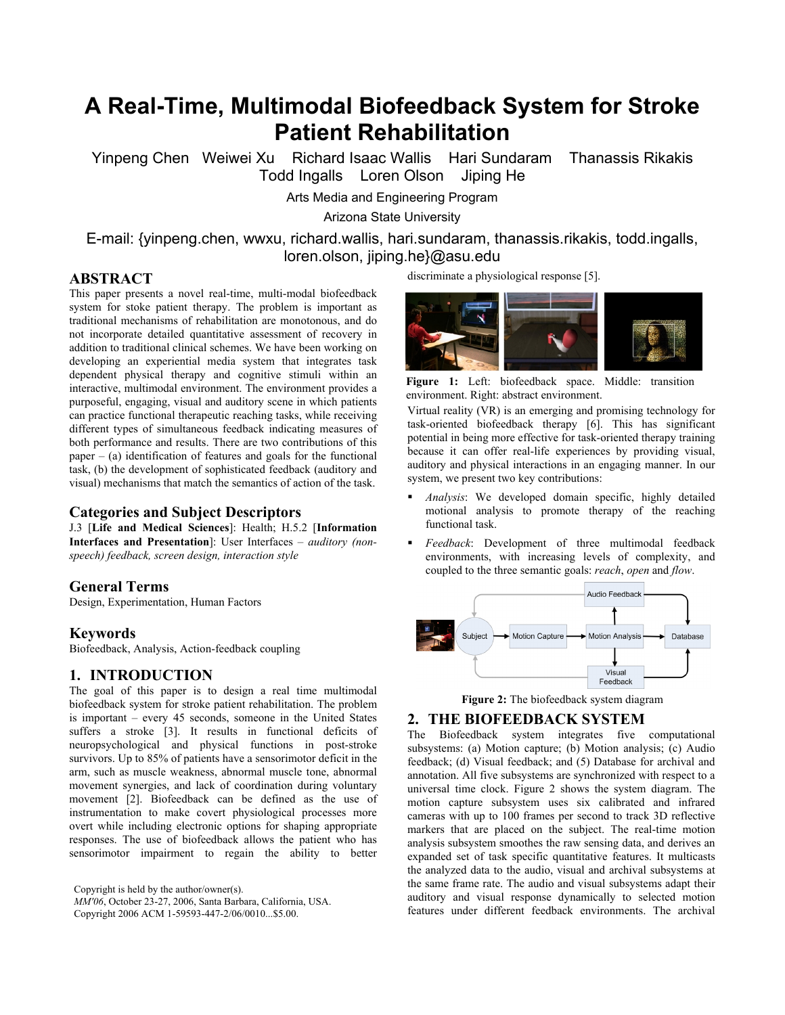# **A Real-Time, Multimodal Biofeedback System for Stroke Patient Rehabilitation**

Yinpeng Chen Weiwei Xu Richard Isaac Wallis Hari Sundaram Thanassis Rikakis Todd Ingalls Loren Olson Jiping He

Arts Media and Engineering Program

Arizona State University

E-mail: {yinpeng.chen, wwxu, richard.wallis, hari.sundaram, thanassis.rikakis, todd.ingalls, loren.olson, jiping.he}@asu.edu

# **ABSTRACT**

This paper presents a novel real-time, multi-modal biofeedback system for stoke patient therapy. The problem is important as traditional mechanisms of rehabilitation are monotonous, and do not incorporate detailed quantitative assessment of recovery in addition to traditional clinical schemes. We have been working on developing an experiential media system that integrates task dependent physical therapy and cognitive stimuli within an interactive, multimodal environment. The environment provides a purposeful, engaging, visual and auditory scene in which patients can practice functional therapeutic reaching tasks, while receiving different types of simultaneous feedback indicating measures of both performance and results. There are two contributions of this  $paper - (a) identification of features and goals for the functional$ task, (b) the development of sophisticated feedback (auditory and visual) mechanisms that match the semantics of action of the task.

## **Categories and Subject Descriptors**

J.3 [**Life and Medical Sciences**]: Health; H.5.2 [**Information Interfaces and Presentation**]: User Interfaces – *auditory (nonspeech) feedback, screen design, interaction style* 

### **General Terms**

Design, Experimentation, Human Factors

#### **Keywords**

Biofeedback, Analysis, Action-feedback coupling

# **1. INTRODUCTION**

The goal of this paper is to design a real time multimodal biofeedback system for stroke patient rehabilitation. The problem is important – every 45 seconds, someone in the United States suffers a stroke [3]. It results in functional deficits of neuropsychological and physical functions in post-stroke survivors. Up to 85% of patients have a sensorimotor deficit in the arm, such as muscle weakness, abnormal muscle tone, abnormal movement synergies, and lack of coordination during voluntary movement [2]. Biofeedback can be defined as the use of instrumentation to make covert physiological processes more overt while including electronic options for shaping appropriate responses. The use of biofeedback allows the patient who has sensorimotor impairment to regain the ability to better

Copyright is held by the author/owner(s). *MM'06*, October 23-27, 2006, Santa Barbara, California, USA. Copyright 2006 ACM 1-59593-447-2/06/0010...\$5.00.

discriminate a physiological response [5].



**Figure 1:** Left: biofeedback space. Middle: transition environment. Right: abstract environment.

Virtual reality (VR) is an emerging and promising technology for task-oriented biofeedback therapy [6]. This has significant potential in being more effective for task-oriented therapy training because it can offer real-life experiences by providing visual, auditory and physical interactions in an engaging manner. In our system, we present two key contributions:

- *Analysis*: We developed domain specific, highly detailed motional analysis to promote therapy of the reaching functional task.
- *Feedback*: Development of three multimodal feedback environments, with increasing levels of complexity, and coupled to the three semantic goals: *reach*, *open* and *flow*.





#### **2. THE BIOFEEDBACK SYSTEM**

The Biofeedback system integrates five computational subsystems: (a) Motion capture; (b) Motion analysis; (c) Audio feedback; (d) Visual feedback; and (5) Database for archival and annotation. All five subsystems are synchronized with respect to a universal time clock. Figure 2 shows the system diagram. The motion capture subsystem uses six calibrated and infrared cameras with up to 100 frames per second to track 3D reflective markers that are placed on the subject. The real-time motion analysis subsystem smoothes the raw sensing data, and derives an expanded set of task specific quantitative features. It multicasts the analyzed data to the audio, visual and archival subsystems at the same frame rate. The audio and visual subsystems adapt their auditory and visual response dynamically to selected motion features under different feedback environments. The archival